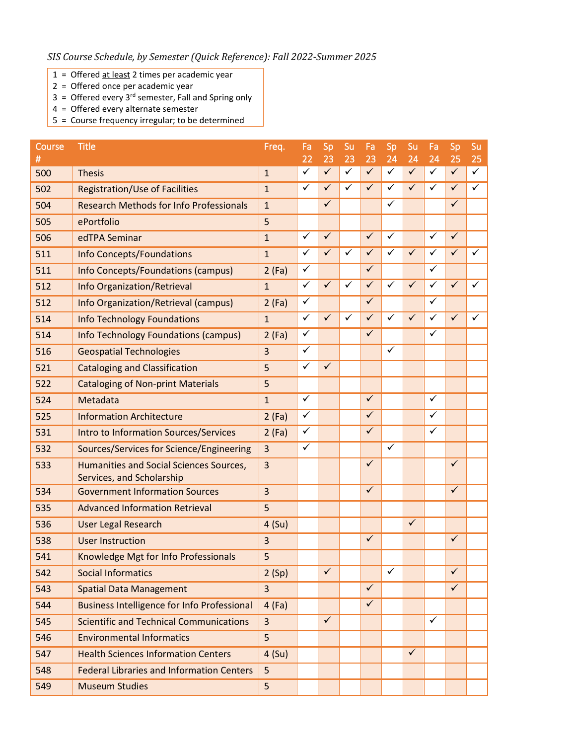*SIS Course Schedule, by Semester (Quick Reference): Fall 2022-Summer 2025*

- 1 = Offered at least 2 times per academic year
- 2 = Offered once per academic year
- $3 =$  Offered every  $3<sup>rd</sup>$  semester, Fall and Spring only
- 4 = Offered every alternate semester
- 5 = Course frequency irregular; to be determined

| $\checkmark$<br>$\checkmark$<br>$\checkmark$<br>$\checkmark$<br>$\checkmark$<br>$\checkmark$<br>$\checkmark$<br>$\checkmark$<br>$\checkmark$<br>500<br><b>Thesis</b><br>$\mathbf{1}$<br>$\checkmark$<br>$\checkmark$<br>$\checkmark$<br>$\checkmark$<br>✓<br>$\checkmark$<br>$\checkmark$<br>$\checkmark$<br>$\checkmark$<br>$\mathbf{1}$<br>502<br><b>Registration/Use of Facilities</b><br>$\checkmark$<br>✓<br>$\checkmark$<br>504<br><b>Research Methods for Info Professionals</b><br>$\mathbf{1}$<br>ePortfolio<br>5<br>505<br>$\checkmark$<br>$\checkmark$<br>$\checkmark$<br>$\checkmark$<br>$\checkmark$<br>$\checkmark$<br>$\mathbf{1}$<br>506<br>edTPA Seminar<br>$\checkmark$<br>$\checkmark$<br>$\checkmark$<br>$\checkmark$<br>$\checkmark$<br>$\checkmark$<br>$\checkmark$<br>$\checkmark$<br>$\checkmark$<br>511<br>$\mathbf{1}$<br>Info Concepts/Foundations<br>$\checkmark$<br>$\checkmark$<br>✓<br>2(Fa)<br>511<br>Info Concepts/Foundations (campus)<br>$\checkmark$<br>$\checkmark$<br>$\checkmark$<br>$\checkmark$<br>$\checkmark$<br>✓<br>$\checkmark$<br>$\checkmark$<br>✓<br>$\mathbf{1}$<br>512<br>Info Organization/Retrieval<br>$\checkmark$<br>$\checkmark$<br>$\checkmark$<br>Info Organization/Retrieval (campus)<br>512<br>2(Fa)<br>$\checkmark$<br>$\checkmark$<br>$\checkmark$<br>$\checkmark$<br>$\checkmark$<br>$\checkmark$<br>✓<br>$\checkmark$<br>✓<br>514<br><b>Info Technology Foundations</b><br>$\mathbf{1}$<br>$\checkmark$<br>$\checkmark$<br>✓<br>514<br>Info Technology Foundations (campus)<br>2(Fa)<br>$\checkmark$<br>$\checkmark$<br>3<br>516<br><b>Geospatial Technologies</b><br>$\checkmark$<br>$\checkmark$<br>5<br>521<br><b>Cataloging and Classification</b><br>5<br>522<br><b>Cataloging of Non-print Materials</b><br>$\checkmark$<br>$\checkmark$<br>✓<br>Metadata<br>524<br>$\mathbf{1}$<br>$\checkmark$<br>$\checkmark$<br>$\checkmark$<br>2(Fa)<br>525<br><b>Information Architecture</b><br>$\checkmark$<br>$\checkmark$<br>$\checkmark$<br>531<br><b>Intro to Information Sources/Services</b><br>2(Fa)<br>$\checkmark$<br>$\checkmark$<br>532<br>Sources/Services for Science/Engineering<br>3<br>$\checkmark$<br>✓<br>533<br>Humanities and Social Sciences Sources,<br>3<br>Services, and Scholarship<br>$\checkmark$<br>$\checkmark$<br>$\overline{3}$<br>534<br><b>Government Information Sources</b><br>5<br><b>Advanced Information Retrieval</b><br>535<br>$\checkmark$<br>536<br><b>User Legal Research</b><br>4 (Su)<br>$\checkmark$<br>$\checkmark$<br>$\overline{3}$<br>538<br><b>User Instruction</b><br>5<br>541<br>Knowledge Mgt for Info Professionals<br>$\checkmark$<br>$\checkmark$<br>$\checkmark$<br><b>Social Informatics</b><br>2(Sp)<br>542<br>$\checkmark$<br>$\checkmark$<br>543<br><b>Spatial Data Management</b><br>3<br>$\checkmark$<br><b>Business Intelligence for Info Professional</b><br>4(Fa)<br>544<br>$\checkmark$<br>$\checkmark$<br>$\overline{\mathbf{3}}$<br><b>Scientific and Technical Communications</b><br>545<br>5<br><b>Environmental Informatics</b><br>546<br>$\checkmark$<br>547<br><b>Health Sciences Information Centers</b><br>4(Su)<br>5<br>548<br><b>Federal Libraries and Information Centers</b><br>549<br><b>Museum Studies</b><br>5 | Course<br># | <b>Title</b> | Freq. | Fa<br>22 | Sp<br>23 | Su<br>23 | Fa<br>23 | Sp<br>24 | Su<br>24 | Fa<br>24 | Sp<br>25 | Su<br>25 |
|------------------------------------------------------------------------------------------------------------------------------------------------------------------------------------------------------------------------------------------------------------------------------------------------------------------------------------------------------------------------------------------------------------------------------------------------------------------------------------------------------------------------------------------------------------------------------------------------------------------------------------------------------------------------------------------------------------------------------------------------------------------------------------------------------------------------------------------------------------------------------------------------------------------------------------------------------------------------------------------------------------------------------------------------------------------------------------------------------------------------------------------------------------------------------------------------------------------------------------------------------------------------------------------------------------------------------------------------------------------------------------------------------------------------------------------------------------------------------------------------------------------------------------------------------------------------------------------------------------------------------------------------------------------------------------------------------------------------------------------------------------------------------------------------------------------------------------------------------------------------------------------------------------------------------------------------------------------------------------------------------------------------------------------------------------------------------------------------------------------------------------------------------------------------------------------------------------------------------------------------------------------------------------------------------------------------------------------------------------------------------------------------------------------------------------------------------------------------------------------------------------------------------------------------------------------------------------------------------------------------------------------------------------------------------------------------------------------------------------------------------------------------------------------------------------------------------------------------------------------------------------------------------------------------------------------------------------------------------------------------------------------------------------------------------------------------------------------------------------------------------------------------------------------------------------------------------------------------------------------------------------------|-------------|--------------|-------|----------|----------|----------|----------|----------|----------|----------|----------|----------|
|                                                                                                                                                                                                                                                                                                                                                                                                                                                                                                                                                                                                                                                                                                                                                                                                                                                                                                                                                                                                                                                                                                                                                                                                                                                                                                                                                                                                                                                                                                                                                                                                                                                                                                                                                                                                                                                                                                                                                                                                                                                                                                                                                                                                                                                                                                                                                                                                                                                                                                                                                                                                                                                                                                                                                                                                                                                                                                                                                                                                                                                                                                                                                                                                                                                                  |             |              |       |          |          |          |          |          |          |          |          |          |
|                                                                                                                                                                                                                                                                                                                                                                                                                                                                                                                                                                                                                                                                                                                                                                                                                                                                                                                                                                                                                                                                                                                                                                                                                                                                                                                                                                                                                                                                                                                                                                                                                                                                                                                                                                                                                                                                                                                                                                                                                                                                                                                                                                                                                                                                                                                                                                                                                                                                                                                                                                                                                                                                                                                                                                                                                                                                                                                                                                                                                                                                                                                                                                                                                                                                  |             |              |       |          |          |          |          |          |          |          |          |          |
|                                                                                                                                                                                                                                                                                                                                                                                                                                                                                                                                                                                                                                                                                                                                                                                                                                                                                                                                                                                                                                                                                                                                                                                                                                                                                                                                                                                                                                                                                                                                                                                                                                                                                                                                                                                                                                                                                                                                                                                                                                                                                                                                                                                                                                                                                                                                                                                                                                                                                                                                                                                                                                                                                                                                                                                                                                                                                                                                                                                                                                                                                                                                                                                                                                                                  |             |              |       |          |          |          |          |          |          |          |          |          |
|                                                                                                                                                                                                                                                                                                                                                                                                                                                                                                                                                                                                                                                                                                                                                                                                                                                                                                                                                                                                                                                                                                                                                                                                                                                                                                                                                                                                                                                                                                                                                                                                                                                                                                                                                                                                                                                                                                                                                                                                                                                                                                                                                                                                                                                                                                                                                                                                                                                                                                                                                                                                                                                                                                                                                                                                                                                                                                                                                                                                                                                                                                                                                                                                                                                                  |             |              |       |          |          |          |          |          |          |          |          |          |
|                                                                                                                                                                                                                                                                                                                                                                                                                                                                                                                                                                                                                                                                                                                                                                                                                                                                                                                                                                                                                                                                                                                                                                                                                                                                                                                                                                                                                                                                                                                                                                                                                                                                                                                                                                                                                                                                                                                                                                                                                                                                                                                                                                                                                                                                                                                                                                                                                                                                                                                                                                                                                                                                                                                                                                                                                                                                                                                                                                                                                                                                                                                                                                                                                                                                  |             |              |       |          |          |          |          |          |          |          |          |          |
|                                                                                                                                                                                                                                                                                                                                                                                                                                                                                                                                                                                                                                                                                                                                                                                                                                                                                                                                                                                                                                                                                                                                                                                                                                                                                                                                                                                                                                                                                                                                                                                                                                                                                                                                                                                                                                                                                                                                                                                                                                                                                                                                                                                                                                                                                                                                                                                                                                                                                                                                                                                                                                                                                                                                                                                                                                                                                                                                                                                                                                                                                                                                                                                                                                                                  |             |              |       |          |          |          |          |          |          |          |          |          |
|                                                                                                                                                                                                                                                                                                                                                                                                                                                                                                                                                                                                                                                                                                                                                                                                                                                                                                                                                                                                                                                                                                                                                                                                                                                                                                                                                                                                                                                                                                                                                                                                                                                                                                                                                                                                                                                                                                                                                                                                                                                                                                                                                                                                                                                                                                                                                                                                                                                                                                                                                                                                                                                                                                                                                                                                                                                                                                                                                                                                                                                                                                                                                                                                                                                                  |             |              |       |          |          |          |          |          |          |          |          |          |
|                                                                                                                                                                                                                                                                                                                                                                                                                                                                                                                                                                                                                                                                                                                                                                                                                                                                                                                                                                                                                                                                                                                                                                                                                                                                                                                                                                                                                                                                                                                                                                                                                                                                                                                                                                                                                                                                                                                                                                                                                                                                                                                                                                                                                                                                                                                                                                                                                                                                                                                                                                                                                                                                                                                                                                                                                                                                                                                                                                                                                                                                                                                                                                                                                                                                  |             |              |       |          |          |          |          |          |          |          |          |          |
|                                                                                                                                                                                                                                                                                                                                                                                                                                                                                                                                                                                                                                                                                                                                                                                                                                                                                                                                                                                                                                                                                                                                                                                                                                                                                                                                                                                                                                                                                                                                                                                                                                                                                                                                                                                                                                                                                                                                                                                                                                                                                                                                                                                                                                                                                                                                                                                                                                                                                                                                                                                                                                                                                                                                                                                                                                                                                                                                                                                                                                                                                                                                                                                                                                                                  |             |              |       |          |          |          |          |          |          |          |          |          |
|                                                                                                                                                                                                                                                                                                                                                                                                                                                                                                                                                                                                                                                                                                                                                                                                                                                                                                                                                                                                                                                                                                                                                                                                                                                                                                                                                                                                                                                                                                                                                                                                                                                                                                                                                                                                                                                                                                                                                                                                                                                                                                                                                                                                                                                                                                                                                                                                                                                                                                                                                                                                                                                                                                                                                                                                                                                                                                                                                                                                                                                                                                                                                                                                                                                                  |             |              |       |          |          |          |          |          |          |          |          |          |
|                                                                                                                                                                                                                                                                                                                                                                                                                                                                                                                                                                                                                                                                                                                                                                                                                                                                                                                                                                                                                                                                                                                                                                                                                                                                                                                                                                                                                                                                                                                                                                                                                                                                                                                                                                                                                                                                                                                                                                                                                                                                                                                                                                                                                                                                                                                                                                                                                                                                                                                                                                                                                                                                                                                                                                                                                                                                                                                                                                                                                                                                                                                                                                                                                                                                  |             |              |       |          |          |          |          |          |          |          |          |          |
|                                                                                                                                                                                                                                                                                                                                                                                                                                                                                                                                                                                                                                                                                                                                                                                                                                                                                                                                                                                                                                                                                                                                                                                                                                                                                                                                                                                                                                                                                                                                                                                                                                                                                                                                                                                                                                                                                                                                                                                                                                                                                                                                                                                                                                                                                                                                                                                                                                                                                                                                                                                                                                                                                                                                                                                                                                                                                                                                                                                                                                                                                                                                                                                                                                                                  |             |              |       |          |          |          |          |          |          |          |          |          |
|                                                                                                                                                                                                                                                                                                                                                                                                                                                                                                                                                                                                                                                                                                                                                                                                                                                                                                                                                                                                                                                                                                                                                                                                                                                                                                                                                                                                                                                                                                                                                                                                                                                                                                                                                                                                                                                                                                                                                                                                                                                                                                                                                                                                                                                                                                                                                                                                                                                                                                                                                                                                                                                                                                                                                                                                                                                                                                                                                                                                                                                                                                                                                                                                                                                                  |             |              |       |          |          |          |          |          |          |          |          |          |
|                                                                                                                                                                                                                                                                                                                                                                                                                                                                                                                                                                                                                                                                                                                                                                                                                                                                                                                                                                                                                                                                                                                                                                                                                                                                                                                                                                                                                                                                                                                                                                                                                                                                                                                                                                                                                                                                                                                                                                                                                                                                                                                                                                                                                                                                                                                                                                                                                                                                                                                                                                                                                                                                                                                                                                                                                                                                                                                                                                                                                                                                                                                                                                                                                                                                  |             |              |       |          |          |          |          |          |          |          |          |          |
|                                                                                                                                                                                                                                                                                                                                                                                                                                                                                                                                                                                                                                                                                                                                                                                                                                                                                                                                                                                                                                                                                                                                                                                                                                                                                                                                                                                                                                                                                                                                                                                                                                                                                                                                                                                                                                                                                                                                                                                                                                                                                                                                                                                                                                                                                                                                                                                                                                                                                                                                                                                                                                                                                                                                                                                                                                                                                                                                                                                                                                                                                                                                                                                                                                                                  |             |              |       |          |          |          |          |          |          |          |          |          |
|                                                                                                                                                                                                                                                                                                                                                                                                                                                                                                                                                                                                                                                                                                                                                                                                                                                                                                                                                                                                                                                                                                                                                                                                                                                                                                                                                                                                                                                                                                                                                                                                                                                                                                                                                                                                                                                                                                                                                                                                                                                                                                                                                                                                                                                                                                                                                                                                                                                                                                                                                                                                                                                                                                                                                                                                                                                                                                                                                                                                                                                                                                                                                                                                                                                                  |             |              |       |          |          |          |          |          |          |          |          |          |
|                                                                                                                                                                                                                                                                                                                                                                                                                                                                                                                                                                                                                                                                                                                                                                                                                                                                                                                                                                                                                                                                                                                                                                                                                                                                                                                                                                                                                                                                                                                                                                                                                                                                                                                                                                                                                                                                                                                                                                                                                                                                                                                                                                                                                                                                                                                                                                                                                                                                                                                                                                                                                                                                                                                                                                                                                                                                                                                                                                                                                                                                                                                                                                                                                                                                  |             |              |       |          |          |          |          |          |          |          |          |          |
|                                                                                                                                                                                                                                                                                                                                                                                                                                                                                                                                                                                                                                                                                                                                                                                                                                                                                                                                                                                                                                                                                                                                                                                                                                                                                                                                                                                                                                                                                                                                                                                                                                                                                                                                                                                                                                                                                                                                                                                                                                                                                                                                                                                                                                                                                                                                                                                                                                                                                                                                                                                                                                                                                                                                                                                                                                                                                                                                                                                                                                                                                                                                                                                                                                                                  |             |              |       |          |          |          |          |          |          |          |          |          |
|                                                                                                                                                                                                                                                                                                                                                                                                                                                                                                                                                                                                                                                                                                                                                                                                                                                                                                                                                                                                                                                                                                                                                                                                                                                                                                                                                                                                                                                                                                                                                                                                                                                                                                                                                                                                                                                                                                                                                                                                                                                                                                                                                                                                                                                                                                                                                                                                                                                                                                                                                                                                                                                                                                                                                                                                                                                                                                                                                                                                                                                                                                                                                                                                                                                                  |             |              |       |          |          |          |          |          |          |          |          |          |
|                                                                                                                                                                                                                                                                                                                                                                                                                                                                                                                                                                                                                                                                                                                                                                                                                                                                                                                                                                                                                                                                                                                                                                                                                                                                                                                                                                                                                                                                                                                                                                                                                                                                                                                                                                                                                                                                                                                                                                                                                                                                                                                                                                                                                                                                                                                                                                                                                                                                                                                                                                                                                                                                                                                                                                                                                                                                                                                                                                                                                                                                                                                                                                                                                                                                  |             |              |       |          |          |          |          |          |          |          |          |          |
|                                                                                                                                                                                                                                                                                                                                                                                                                                                                                                                                                                                                                                                                                                                                                                                                                                                                                                                                                                                                                                                                                                                                                                                                                                                                                                                                                                                                                                                                                                                                                                                                                                                                                                                                                                                                                                                                                                                                                                                                                                                                                                                                                                                                                                                                                                                                                                                                                                                                                                                                                                                                                                                                                                                                                                                                                                                                                                                                                                                                                                                                                                                                                                                                                                                                  |             |              |       |          |          |          |          |          |          |          |          |          |
|                                                                                                                                                                                                                                                                                                                                                                                                                                                                                                                                                                                                                                                                                                                                                                                                                                                                                                                                                                                                                                                                                                                                                                                                                                                                                                                                                                                                                                                                                                                                                                                                                                                                                                                                                                                                                                                                                                                                                                                                                                                                                                                                                                                                                                                                                                                                                                                                                                                                                                                                                                                                                                                                                                                                                                                                                                                                                                                                                                                                                                                                                                                                                                                                                                                                  |             |              |       |          |          |          |          |          |          |          |          |          |
|                                                                                                                                                                                                                                                                                                                                                                                                                                                                                                                                                                                                                                                                                                                                                                                                                                                                                                                                                                                                                                                                                                                                                                                                                                                                                                                                                                                                                                                                                                                                                                                                                                                                                                                                                                                                                                                                                                                                                                                                                                                                                                                                                                                                                                                                                                                                                                                                                                                                                                                                                                                                                                                                                                                                                                                                                                                                                                                                                                                                                                                                                                                                                                                                                                                                  |             |              |       |          |          |          |          |          |          |          |          |          |
|                                                                                                                                                                                                                                                                                                                                                                                                                                                                                                                                                                                                                                                                                                                                                                                                                                                                                                                                                                                                                                                                                                                                                                                                                                                                                                                                                                                                                                                                                                                                                                                                                                                                                                                                                                                                                                                                                                                                                                                                                                                                                                                                                                                                                                                                                                                                                                                                                                                                                                                                                                                                                                                                                                                                                                                                                                                                                                                                                                                                                                                                                                                                                                                                                                                                  |             |              |       |          |          |          |          |          |          |          |          |          |
|                                                                                                                                                                                                                                                                                                                                                                                                                                                                                                                                                                                                                                                                                                                                                                                                                                                                                                                                                                                                                                                                                                                                                                                                                                                                                                                                                                                                                                                                                                                                                                                                                                                                                                                                                                                                                                                                                                                                                                                                                                                                                                                                                                                                                                                                                                                                                                                                                                                                                                                                                                                                                                                                                                                                                                                                                                                                                                                                                                                                                                                                                                                                                                                                                                                                  |             |              |       |          |          |          |          |          |          |          |          |          |
|                                                                                                                                                                                                                                                                                                                                                                                                                                                                                                                                                                                                                                                                                                                                                                                                                                                                                                                                                                                                                                                                                                                                                                                                                                                                                                                                                                                                                                                                                                                                                                                                                                                                                                                                                                                                                                                                                                                                                                                                                                                                                                                                                                                                                                                                                                                                                                                                                                                                                                                                                                                                                                                                                                                                                                                                                                                                                                                                                                                                                                                                                                                                                                                                                                                                  |             |              |       |          |          |          |          |          |          |          |          |          |
|                                                                                                                                                                                                                                                                                                                                                                                                                                                                                                                                                                                                                                                                                                                                                                                                                                                                                                                                                                                                                                                                                                                                                                                                                                                                                                                                                                                                                                                                                                                                                                                                                                                                                                                                                                                                                                                                                                                                                                                                                                                                                                                                                                                                                                                                                                                                                                                                                                                                                                                                                                                                                                                                                                                                                                                                                                                                                                                                                                                                                                                                                                                                                                                                                                                                  |             |              |       |          |          |          |          |          |          |          |          |          |
|                                                                                                                                                                                                                                                                                                                                                                                                                                                                                                                                                                                                                                                                                                                                                                                                                                                                                                                                                                                                                                                                                                                                                                                                                                                                                                                                                                                                                                                                                                                                                                                                                                                                                                                                                                                                                                                                                                                                                                                                                                                                                                                                                                                                                                                                                                                                                                                                                                                                                                                                                                                                                                                                                                                                                                                                                                                                                                                                                                                                                                                                                                                                                                                                                                                                  |             |              |       |          |          |          |          |          |          |          |          |          |
|                                                                                                                                                                                                                                                                                                                                                                                                                                                                                                                                                                                                                                                                                                                                                                                                                                                                                                                                                                                                                                                                                                                                                                                                                                                                                                                                                                                                                                                                                                                                                                                                                                                                                                                                                                                                                                                                                                                                                                                                                                                                                                                                                                                                                                                                                                                                                                                                                                                                                                                                                                                                                                                                                                                                                                                                                                                                                                                                                                                                                                                                                                                                                                                                                                                                  |             |              |       |          |          |          |          |          |          |          |          |          |
|                                                                                                                                                                                                                                                                                                                                                                                                                                                                                                                                                                                                                                                                                                                                                                                                                                                                                                                                                                                                                                                                                                                                                                                                                                                                                                                                                                                                                                                                                                                                                                                                                                                                                                                                                                                                                                                                                                                                                                                                                                                                                                                                                                                                                                                                                                                                                                                                                                                                                                                                                                                                                                                                                                                                                                                                                                                                                                                                                                                                                                                                                                                                                                                                                                                                  |             |              |       |          |          |          |          |          |          |          |          |          |
|                                                                                                                                                                                                                                                                                                                                                                                                                                                                                                                                                                                                                                                                                                                                                                                                                                                                                                                                                                                                                                                                                                                                                                                                                                                                                                                                                                                                                                                                                                                                                                                                                                                                                                                                                                                                                                                                                                                                                                                                                                                                                                                                                                                                                                                                                                                                                                                                                                                                                                                                                                                                                                                                                                                                                                                                                                                                                                                                                                                                                                                                                                                                                                                                                                                                  |             |              |       |          |          |          |          |          |          |          |          |          |
|                                                                                                                                                                                                                                                                                                                                                                                                                                                                                                                                                                                                                                                                                                                                                                                                                                                                                                                                                                                                                                                                                                                                                                                                                                                                                                                                                                                                                                                                                                                                                                                                                                                                                                                                                                                                                                                                                                                                                                                                                                                                                                                                                                                                                                                                                                                                                                                                                                                                                                                                                                                                                                                                                                                                                                                                                                                                                                                                                                                                                                                                                                                                                                                                                                                                  |             |              |       |          |          |          |          |          |          |          |          |          |